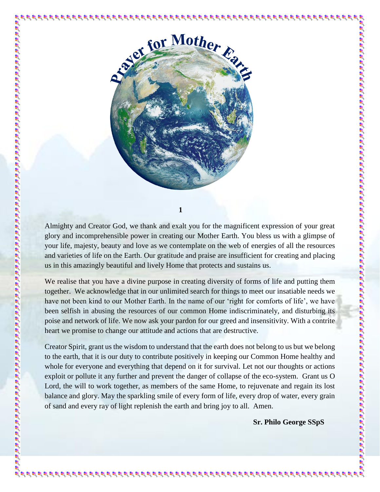

**1**

Almighty and Creator God, we thank and exalt you for the magnificent expression of your great glory and incomprehensible power in creating our Mother Earth. You bless us with a glimpse of your life, majesty, beauty and love as we contemplate on the web of energies of all the resources and varieties of life on the Earth. Our gratitude and praise are insufficient for creating and placing us in this amazingly beautiful and lively Home that protects and sustains us.

We realise that you have a divine purpose in creating diversity of forms of life and putting them together. We acknowledge that in our unlimited search for things to meet our insatiable needs we have not been kind to our Mother Earth. In the name of our 'right for comforts of life', we have been selfish in abusing the resources of our common Home indiscriminately, and disturbing its poise and network of life. We now ask your pardon for our greed and insensitivity. With a contrite heart we promise to change our attitude and actions that are destructive.

Creator Spirit, grant us the wisdom to understand that the earth does not belong to us but we belong to the earth, that it is our duty to contribute positively in keeping our Common Home healthy and whole for everyone and everything that depend on it for survival. Let not our thoughts or actions exploit or pollute it any further and prevent the danger of collapse of the eco-system. Grant us O Lord, the will to work together, as members of the same Home, to rejuvenate and regain its lost balance and glory. May the sparkling smile of every form of life, every drop of water, every grain of sand and every ray of light replenish the earth and bring joy to all. Amen.

ਖ਼ੁਰੇ ਖ਼ੁਰੇ ਖ਼ੁਰੇ ਖ਼ੁਰੇ ਖ਼ੁਰੇ ਖ਼ੁਰੇ ਖ਼ੁਰੇ ਖ਼ੁਰੇ ਖ਼ੁਰੇ ਖ਼ੁਰੇ ਖ਼ੁਰੇ ਖ਼ੁਰੇ ਖ਼ੁਰੇ ਖ਼ੁਰੇ ਖ਼ੁਰੇ ਖ਼ੁਰੇ ਖ਼ੁਰੇ ਖ਼ੁਰੇ ਖ਼ੁਰੇ ਖ਼ੁਰੇ ਖ਼ੁਰੇ ਖ਼ੁਰੇ

**Sr. Philo George SSpS**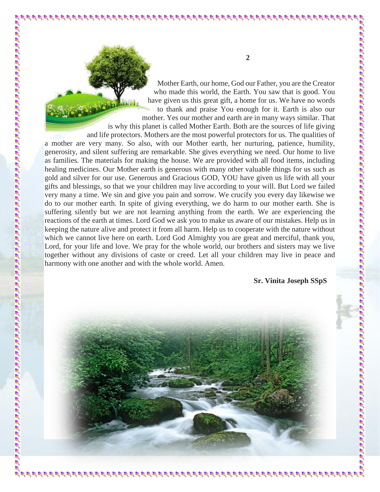Mother Earth, our home, God our Father, you are the Creator who made this world, the Earth. You saw that is good. You have given us this great gift, a home for us. We have no words to thank and praise You enough for it. Earth is also our mother. Yes our mother and earth are in many ways similar. That is why this planet is called Mother Earth. Both are the sources of life giving and life protectors. Mothers are the most powerful protectors for us. The qualities of a mother are very many. So also, with our Mother earth, her nurturing, patience, humility, generosity, and silent suffering are remarkable. She gives everything we need. Our home to live as families. The materials for making the house. We are provided with all food items, including healing medicines. Our Mother earth is generous with many other valuable things for us such as gold and silver for our use. Generous and Gracious GOD, YOU have given us life with all your gifts and blessings, so that we your children may live according to your will. But Lord we failed very many a time. We sin and give you pain and sorrow. We crucify you every day likewise we do to our mother earth. In spite of giving everything, we do harm to our mother earth. She is suffering silently but we are not learning anything from the earth. We are experiencing the reactions of the earth at times. Lord God we ask you to make us aware of our mistakes. Help us in keeping the nature alive and protect it from all harm. Help us to cooperate with the nature without which we cannot live here on earth. Lord God Almighty you are great and merciful, thank you,

Lord, for your life and love. We pray for the whole world, our brothers and sisters may we live together without any divisions of caste or creed. Let all your children may live in peace and harmony with one another and with the whole world. Amen.

 **Sr. Vinita Joseph SSpS**



**2**